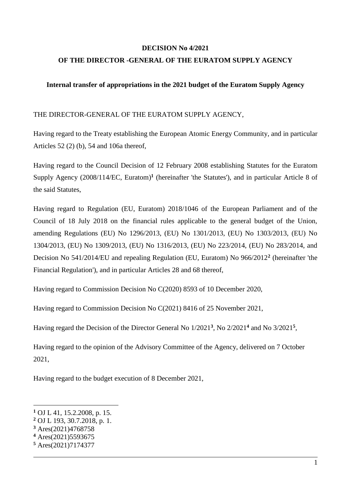### **DECISION No 4/2021**

# **OF THE DIRECTOR -GENERAL OF THE EURATOM SUPPLY AGENCY**

### **Internal transfer of appropriations in the 2021 budget of the Euratom Supply Agency**

#### THE DIRECTOR-GENERAL OF THE EURATOM SUPPLY AGENCY,

Having regard to the Treaty establishing the European Atomic Energy Community, and in particular Articles 52 (2) (b), 54 and 106a thereof,

Having regard to the Council Decision of 12 February 2008 establishing Statutes for the Euratom Supply Agency (2008/114/EC, Euratom)**<sup>1</sup>** (hereinafter 'the Statutes'), and in particular Article 8 of the said Statutes,

Having regard to Regulation (EU, Euratom) 2018/1046 of the European Parliament and of the Council of 18 July 2018 on the financial rules applicable to the general budget of the Union, amending Regulations (EU) No 1296/2013, (EU) No 1301/2013, (EU) No 1303/2013, (EU) No 1304/2013, (EU) No 1309/2013, (EU) No 1316/2013, (EU) No 223/2014, (EU) No 283/2014, and Decision No 541/2014/EU and repealing Regulation (EU, Euratom) No 966/2012**<sup>2</sup>** (hereinafter 'the Financial Regulation'), and in particular Articles 28 and 68 thereof,

Having regard to Commission Decision No C(2020) 8593 of 10 December 2020,

Having regard to Commission Decision No C(2021) 8416 of 25 November 2021,

Having regard the Decision of the Director General No 1/2021**<sup>3</sup>** , No 2/2021**<sup>4</sup>** and No 3/2021**<sup>5</sup>** ,

Having regard to the opinion of the Advisory Committee of the Agency, delivered on 7 October 2021,

Having regard to the budget execution of 8 December 2021,

1

**<sup>1</sup>** OJ L 41, 15.2.2008, p. 15.

**<sup>2</sup>** OJ L 193, 30.7.2018, p. 1.

**<sup>3</sup>** Ares(2021)4768758

**<sup>4</sup>** Ares(2021)5593675

**<sup>5</sup>** Ares(2021)7174377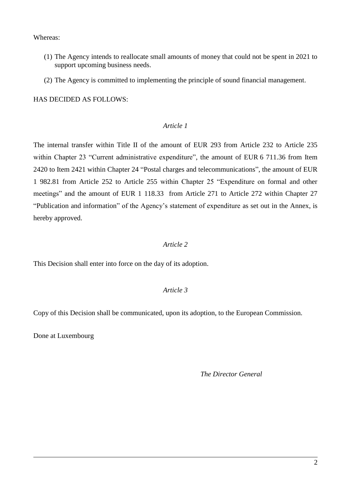#### Whereas:

- (1) The Agency intends to reallocate small amounts of money that could not be spent in 2021 to support upcoming business needs.
- (2) The Agency is committed to implementing the principle of sound financial management.

HAS DECIDED AS FOLLOWS:

## *Article 1*

The internal transfer within Title II of the amount of EUR 293 from Article 232 to Article 235 within Chapter 23 "Current administrative expenditure", the amount of EUR 6 711.36 from Item 2420 to Item 2421 within Chapter 24 "Postal charges and telecommunications", the amount of EUR 1 982.81 from Article 252 to Article 255 within Chapter 25 "Expenditure on formal and other meetings" and the amount of EUR 1 118.33 from Article 271 to Article 272 within Chapter 27 "Publication and information" of the Agency's statement of expenditure as set out in the Annex, is hereby approved.

## *Article 2*

This Decision shall enter into force on the day of its adoption.

# *Article 3*

Copy of this Decision shall be communicated, upon its adoption, to the European Commission.

Done at Luxembourg

*The Director General*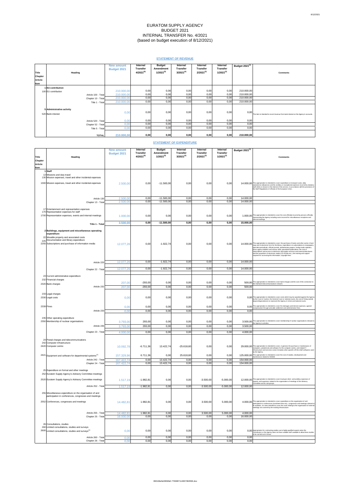# EURATOM SUPPLY AGENCY BUDGET 2021 INTERNAL TRANSFER No. 4/2021 (based on budget execution of 8/12/2021)

# **STATEMENT OF REVENUE**

| <b>Title</b>                                   | <b>Heading</b>      | <b>New amount</b><br><b>Budget 2021</b> | <b>Internal</b><br><b>Transfer</b><br>$4/2021^{(6)}$ | <b>Budget</b><br><b>Amendment</b><br>$1/2021^{(5)}$ | <b>Internal</b><br><b>Transfer</b><br>$3/2021^{(4)}$ | <b>Internal</b><br><b>Transfer</b><br>$2/2021^{(3)}$ | <b>Internal</b><br><b>Transfer</b><br>$1/2021^{(2)}$ | Budget 2021 <sup>(1)</sup> | <b>Comments</b>                                                                      |
|------------------------------------------------|---------------------|-----------------------------------------|------------------------------------------------------|-----------------------------------------------------|------------------------------------------------------|------------------------------------------------------|------------------------------------------------------|----------------------------|--------------------------------------------------------------------------------------|
| <b>Chapter</b>                                 |                     |                                         |                                                      |                                                     |                                                      |                                                      |                                                      |                            |                                                                                      |
| <b>Article</b>                                 |                     |                                         |                                                      |                                                     |                                                      |                                                      |                                                      |                            |                                                                                      |
| Item                                           |                     |                                         |                                                      |                                                     |                                                      |                                                      |                                                      |                            |                                                                                      |
| 1EU contribution                               |                     |                                         |                                                      |                                                     |                                                      |                                                      |                                                      |                            |                                                                                      |
| 100 EU contribution                            |                     | 210.000,00                              | 0,00                                                 | 0,00                                                | 0,00                                                 | 0,00                                                 | 0,00                                                 | 210.000,00                 |                                                                                      |
|                                                | Article 100 - Total | 210.000,00                              | 0,00                                                 | 0,00                                                | 0,00                                                 | 0,00                                                 | 0,00                                                 | 210.000,00                 |                                                                                      |
|                                                | Chapter 10 - Total  | 210.000,00                              | 0,00                                                 | 0,00                                                | 0,00                                                 | 0,00                                                 | 0,00                                                 | 210.000,00                 |                                                                                      |
|                                                | Title 1 - Total     | 210.000,00                              | 0,00                                                 | 0,00                                                | 0,00                                                 | 0,00                                                 | 0,00                                                 | 210.000,00                 |                                                                                      |
| 5 Administrative activity<br>520 Bank interest |                     | 0,00                                    | 0,00                                                 | 0,00                                                | 0,00                                                 | 0,00                                                 | 0,00                                                 | 0,00                       | This item is intended to record revenue from bank interest on the Agency's accounts. |
|                                                | Article 520 - Total | 0,00                                    | 0,00                                                 | 0,00                                                | 0,00                                                 | 0,00                                                 | 0,00                                                 | 0,00                       |                                                                                      |
|                                                | Chapter 52 - Total  | 0,00                                    | 0,00                                                 | 0,00                                                | 0,00                                                 | 0,00                                                 | 0,00                                                 | 0,00                       |                                                                                      |
|                                                | Title 5 - Total     | 0,00                                    | 0,00                                                 | 0,00                                                | 0,00                                                 | 0,00                                                 | 0,00                                                 | 0,00                       |                                                                                      |
|                                                | TOTAL               | 210.000,00                              | 0,00                                                 | 0,00                                                | 0,00                                                 | 0,00                                                 | 0,00                                                 | 210.000,00                 |                                                                                      |

# **STATEMENT OF EXPENDITURE**

|                |                                                                                                   | <b>New amount</b>  | <b>Internal</b><br><b>Transfer</b> | <b>Budget</b>                      | <b>Internal</b><br><b>Transfer</b> | <b>Internal</b><br><b>Transfer</b> | <b>Internal</b><br><b>Transfer</b> | Budget 2021 <sup>(1)</sup> |                                                                                                                                                                                            |
|----------------|---------------------------------------------------------------------------------------------------|--------------------|------------------------------------|------------------------------------|------------------------------------|------------------------------------|------------------------------------|----------------------------|--------------------------------------------------------------------------------------------------------------------------------------------------------------------------------------------|
| <b>Title</b>   | <b>Heading</b>                                                                                    | <b>Budget 2021</b> | $4/2021^{(6)}$                     | <b>Amendment</b><br>$1/2021^{(5)}$ | $3/2021^{(4)}$                     | $2/2021^{(3)}$                     | $1/2021^{(2)}$                     |                            | <b>Comments</b>                                                                                                                                                                            |
| Chapter        |                                                                                                   |                    |                                    |                                    |                                    |                                    |                                    |                            |                                                                                                                                                                                            |
| <b>Article</b> |                                                                                                   |                    |                                    |                                    |                                    |                                    |                                    |                            |                                                                                                                                                                                            |
| Item           |                                                                                                   |                    |                                    |                                    |                                    |                                    |                                    |                            |                                                                                                                                                                                            |
|                | 1 Staff                                                                                           |                    |                                    |                                    |                                    |                                    |                                    |                            |                                                                                                                                                                                            |
|                | 13 Missions and duty travel<br>130 Mission expenses, travel and other incidental expenses         |                    |                                    |                                    |                                    |                                    |                                    |                            |                                                                                                                                                                                            |
|                | 1300 Mission expenses, travel and other incidental expenses                                       |                    | 0,00                               | $-11.500,00$                       | 0,00                               | 0,00                               | 0,00                               |                            | 14.000,00 This appropriation is intended to cover expenditure on transport costs, daily                                                                                                    |
|                |                                                                                                   | 2.500,00           |                                    |                                    |                                    |                                    |                                    |                            | subsistence allowances and the ancillary or exceptional expenses incurred by statutory<br>staff while on mission in the interest of the service, in accordance with the provisions of      |
|                |                                                                                                   |                    |                                    |                                    |                                    |                                    |                                    |                            | the Staff Regulations of officials of the European Union.                                                                                                                                  |
|                |                                                                                                   |                    |                                    |                                    |                                    |                                    |                                    |                            |                                                                                                                                                                                            |
|                | Article 130                                                                                       | 2.500,00           | 0,00                               | $-11.500,00$                       | 0,00                               | 0,00                               | 0,00                               | 14.000,00                  |                                                                                                                                                                                            |
|                | Chapter 13 - Total                                                                                | 2.500,00           | 0,00                               | $-11.500,00$                       | 0,00                               | 0,00                               | 0,00                               | 14.000,00                  |                                                                                                                                                                                            |
|                | 17 Entertainment and representation expenses                                                      |                    |                                    |                                    |                                    |                                    |                                    |                            |                                                                                                                                                                                            |
|                | 170 Representation expenses for staff                                                             |                    |                                    |                                    |                                    |                                    |                                    |                            |                                                                                                                                                                                            |
|                | 1700 Representation expenses, events and internal meetings                                        | 1.000,00           | 0,00                               | 0,00                               | 0,00                               | 0,00                               | 0,00                               |                            | 1.000,00 This appropriation is intended to cover the cost officially incurred by persons officially<br>representing the Agency including costs incurred for miscellaneous receptions and   |
|                |                                                                                                   |                    |                                    |                                    |                                    |                                    |                                    | 15.000,00                  | internal meetings.                                                                                                                                                                         |
|                | Title 1 - Total                                                                                   | 3.500,00           | 0,00                               | $-11.500,00$                       | 0,00                               | 0,00                               | 0,00                               |                            |                                                                                                                                                                                            |
|                | 2 Buildings, equipment and miscellaneous operating                                                |                    |                                    |                                    |                                    |                                    |                                    |                            |                                                                                                                                                                                            |
|                | expenditure                                                                                       |                    |                                    |                                    |                                    |                                    |                                    |                            |                                                                                                                                                                                            |
|                | 22 Movable property and associated costs                                                          |                    |                                    |                                    |                                    |                                    |                                    |                            |                                                                                                                                                                                            |
|                | 225 Documentation and library expenditure<br>2255 Subscriptions and purchase of information media | 12.077,26          | 0,00                               | $-1.922,74$                        | 0,00                               | 0,00                               | 0,00                               |                            | 14.000,00 This appropriation is intended to cover: the purchase of books and other works in hard                                                                                           |
|                |                                                                                                   |                    |                                    |                                    |                                    |                                    |                                    |                            | copy and in electronic form for the library; expenditure on subscriptions to newspapers,<br>specialist periodicals, official journals, parliamentary papers, foreign trade statistics,     |
|                |                                                                                                   |                    |                                    |                                    |                                    |                                    |                                    |                            | press agency bulletins and various other specialised publications; the cost of<br>subscriptions and access to electronic information services and external data bases                      |
|                |                                                                                                   |                    |                                    |                                    |                                    |                                    |                                    |                            | and the acquisition of electronic media (CD-ROMs etc.); the training and support<br>required for accessing this information; copyright fees.                                               |
|                |                                                                                                   |                    |                                    |                                    |                                    |                                    |                                    |                            |                                                                                                                                                                                            |
|                | Article 225                                                                                       | 12.077,26          | 0,00                               | $-1.922,74$                        | 0,00                               | 0,00                               | 0,00                               | 14.000,00                  |                                                                                                                                                                                            |
|                | Chapter 22 - Total                                                                                | 12.077,26          | 0,00                               | $-1.922,74$                        | 0,00                               | 0,00                               | 0,00                               | 14.000,00                  |                                                                                                                                                                                            |
|                |                                                                                                   |                    |                                    |                                    |                                    |                                    |                                    |                            |                                                                                                                                                                                            |
|                | 23 Current administrative expenditure                                                             |                    |                                    |                                    |                                    |                                    |                                    |                            |                                                                                                                                                                                            |
|                | 232 Financial charges                                                                             |                    | $-293,00$                          | 0,00                               | 0,00                               | 0,00                               | 0,00                               |                            |                                                                                                                                                                                            |
|                | 2320 Bank charges<br>Article 232                                                                  | 207,00             | $-293,00$                          | 0,00                               | 0,00                               | 0,00                               | 0,00                               | 500,00                     | 500,00 This appropriation is intended to cover bank charges and the cost of the connection to the interbank telecommunications network.                                                    |
|                |                                                                                                   | 207,00             |                                    |                                    |                                    |                                    |                                    |                            |                                                                                                                                                                                            |
|                | 233 Legal charges                                                                                 |                    |                                    |                                    |                                    |                                    |                                    |                            |                                                                                                                                                                                            |
|                | 2330 Legal costs                                                                                  | 0,00               | 0,00                               | 0,00                               | 0,00                               | 0,00                               | 0,00                               |                            | $0,00$ This appropriation is intended to cover costs which may be awarded against the Agency<br>by the Court of Justice, the General Court or national courts, the cost of hiring outside  |
|                |                                                                                                   |                    |                                    |                                    |                                    |                                    |                                    |                            | lawyers/legal advisers to represent the Agency in Union and national courts.                                                                                                               |
|                | $2339$ Fines                                                                                      | 0,00               | 0,00                               | 0,00                               | 0,00                               | 0,00                               | 0,00                               |                            | 0,00 This appropriation is intended to cover the damages and interest expenses, agreed<br>compensation through amicable settlement and administrative fines.                               |
|                | Article 233                                                                                       | 0,00               | 0,00                               | 0,00                               | 0,00                               | 0,00                               | 0,00                               | 0,00                       |                                                                                                                                                                                            |
|                |                                                                                                   |                    |                                    |                                    |                                    |                                    |                                    |                            |                                                                                                                                                                                            |
|                | 235 Other operating expenditure<br>2350 Membership of nuclear organisations                       |                    | 293,00                             | 0,00                               | 0,00                               | 0,00                               |                                    |                            |                                                                                                                                                                                            |
|                | Article 235                                                                                       | 3.793,00           | 293,00                             | 0,00                               | 0,00                               |                                    | 0,00<br>0,00                       | 3.500,00                   | $3.500,00$ This appropriation is intended to cover membership of nuclear organisations relevant to the Agency's activities.                                                                |
|                |                                                                                                   | 3.793,00           |                                    |                                    |                                    | 0,00                               |                                    |                            |                                                                                                                                                                                            |
|                | Chapter 23 - Total                                                                                | 4.000,00           | 0,00                               | 0,00                               | 0,00                               | 0,00                               | 0,00                               | 4.000,00                   |                                                                                                                                                                                            |
|                |                                                                                                   |                    |                                    |                                    |                                    |                                    |                                    |                            |                                                                                                                                                                                            |
|                | 24 Postal charges and telecommunications<br>242 Computer infrastructure                           |                    |                                    |                                    |                                    |                                    |                                    |                            |                                                                                                                                                                                            |
|                | 2420 Computer centre                                                                              | 10.092,78          | $-6.711,36$                        | 13.422,74                          | $-25.618,60$                       | 0,00                               | 0,00                               |                            | 29.000,00 This appropriation is intended to cover, in general, the purchase or maintenance of                                                                                              |
|                |                                                                                                   |                    |                                    |                                    |                                    |                                    |                                    |                            | computers, peripherals and software for the computer centre, and related IT<br>infrastructure and services costs. It includes other specific off-the-shelf softwares used                  |
|                | $2421$ Equipment and software for departmental systems <sup>(1)</sup>                             | 157.329,96         | 6.711,36                           | 0,00                               | 25.618,60                          | 0,00                               | 0,00                               |                            | by the Agency.<br>125.000,00 This appropriation is intended to cover the cost of studies, development and                                                                                  |
|                | Article 242 - Total                                                                               | 167.422,74         | 0,00                               | 13.422,74                          | 0,00                               | 0,00                               | 0,00                               | 154.000,00                 | maintenance related to NOEMI.                                                                                                                                                              |
|                | Chapter 24 - Total                                                                                | 167.422,74         | 0,00                               | 13.422,74                          | 0,00                               | 0,00                               | 0,00                               | 154.000,00                 |                                                                                                                                                                                            |
|                |                                                                                                   |                    |                                    |                                    |                                    |                                    |                                    |                            |                                                                                                                                                                                            |
|                | 25 Expenditure on formal and other meetings                                                       |                    |                                    |                                    |                                    |                                    |                                    |                            |                                                                                                                                                                                            |
|                | 252 Euratom Supply Agency's Advisory Committee meetings                                           |                    |                                    |                                    |                                    |                                    |                                    |                            |                                                                                                                                                                                            |
|                | 2520 Euratom Supply Agency's Advisory Committee meetings                                          | 1.517,19           | $-1.982,81$                        | 0,00                               | 0,00                               | $-3.500,00$                        | $-5.000,00$                        |                            | 12.000,00 This appropriation is intended to cover travel, per-diem and ancillary expenses of<br>experts, and expenses related to the organisation of meetings of the Advisory              |
|                |                                                                                                   |                    |                                    |                                    |                                    |                                    |                                    |                            | Committee and its sub-groups.                                                                                                                                                              |
|                | Article 252 - Total                                                                               | 1.517,19           | $-1.982,81$                        | 0,00                               | 0,00                               | $-3.500,00$                        | $-5.000,00$                        | 12.000,00                  |                                                                                                                                                                                            |
|                | 255 Miscellaneous expenditure on the organisation of and                                          |                    |                                    |                                    |                                    |                                    |                                    |                            |                                                                                                                                                                                            |
|                | participation in conferences, congresses and meetings                                             |                    |                                    |                                    |                                    |                                    |                                    |                            |                                                                                                                                                                                            |
|                | 2552 Conferences, congresses and meetings                                                         | 14.482,81          | 1.982,81                           | 0,00                               | 0,00                               | 3.500,00                           | 5.000,00                           |                            | 4.000,00 This appropriation is intended to cover expenditure on the organisation of and                                                                                                    |
|                |                                                                                                   |                    |                                    |                                    |                                    |                                    |                                    |                            | participation in conferences (enrolment fees etc)., congresses and meetings relevant to<br>its activities. It is also intended to cover the costs relating to the organisation of external |
|                |                                                                                                   |                    |                                    |                                    |                                    |                                    |                                    |                            | meetings not covered by the existing infrastructure.                                                                                                                                       |
|                | Article 255 - Total                                                                               | 14.482,81          | 1.982,81                           | 0,00                               | 0,00                               | 3.500,00                           | 5.000,00                           | 4.000,00                   |                                                                                                                                                                                            |
|                | Chapter 25 - Total                                                                                | 16.000,00          | 0,00                               | 0,00                               | 0,00                               | 0,00                               | 0,00                               | 16.000,00                  |                                                                                                                                                                                            |
|                |                                                                                                   |                    |                                    |                                    |                                    |                                    |                                    |                            |                                                                                                                                                                                            |
|                | 26 Consultations, studies<br>260 Limited consultations, studies and surveys                       |                    |                                    |                                    |                                    |                                    |                                    |                            |                                                                                                                                                                                            |
|                | $2600$ Limited consultations, studies and surveys <sup>(1)</sup>                                  | 0,00               | 0,00                               | 0,00                               | 0,00                               | 0,00                               | 0,00                               |                            | 0.00 Appropriation for contracting studies out to highly-qualified experts when the<br>Commission or the Agency does not have suitable staff available to allow these studies              |
|                |                                                                                                   |                    |                                    |                                    |                                    |                                    |                                    |                            | to be carried out in-house.                                                                                                                                                                |
|                | Article 260 - Total<br>Chapter 26 - Total                                                         | 0,00               | 0,00<br>0,00                       | 0,00<br>0,00                       | 0,00<br>0,00                       | 0,00                               | 0,00<br>0,00                       | 0,00<br>0,00               |                                                                                                                                                                                            |
|                |                                                                                                   | 0,00               |                                    |                                    |                                    | 0,00                               |                                    |                            |                                                                                                                                                                                            |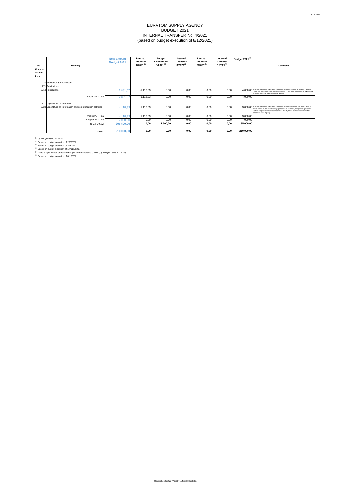# EURATOM SUPPLY AGENCY BUDGET 2021 INTERNAL TRANSFER No. 4/2021 (based on budget execution of 8/12/2021)

| Title<br><b>Chapter</b><br>Article<br>Item | <b>Heading</b>                                                                                 | <b>New amount</b><br><b>Budget 2021</b> | <b>Internal</b><br><b>Transfer</b><br>$4/2021^{(6)}$ | <b>Budget</b><br><b>Amendment</b><br>$1/2021^{(5)}$ | <b>Internal</b><br><b>Transfer</b><br>$3/2021^{(4)}$ | <b>Internal</b><br><b>Transfer</b><br>$2/2021^{(3)}$ | <b>Internal</b><br><b>Transfer</b><br>$1/2021^{(2)}$ | <b>Budget 2021(1)</b> | <b>Comments</b>                                                                                                                                                                                                                                                                                                |
|--------------------------------------------|------------------------------------------------------------------------------------------------|-----------------------------------------|------------------------------------------------------|-----------------------------------------------------|------------------------------------------------------|------------------------------------------------------|------------------------------------------------------|-----------------------|----------------------------------------------------------------------------------------------------------------------------------------------------------------------------------------------------------------------------------------------------------------------------------------------------------------|
|                                            |                                                                                                |                                         |                                                      |                                                     |                                                      |                                                      |                                                      |                       |                                                                                                                                                                                                                                                                                                                |
|                                            | 27 Publication & Information                                                                   |                                         |                                                      |                                                     |                                                      |                                                      |                                                      |                       |                                                                                                                                                                                                                                                                                                                |
|                                            | 271 Publications                                                                               |                                         |                                                      |                                                     |                                                      |                                                      |                                                      |                       |                                                                                                                                                                                                                                                                                                                |
|                                            | 2710 Publications                                                                              | 2.881,67                                | $-1.118,33$                                          | 0,00                                                | 0,00                                                 | 0,00                                                 | 0,00                                                 |                       | 4.000,00 This appropriation is intended to cover the costs of publishing the Agency's annual<br>report and other publication activities (in paper or electronic form) directly linked to the<br>achievement of the objectives of the Agency.                                                                   |
|                                            | Article 271 - Total                                                                            | 2.881,67                                | $-1.118,33$                                          | 0,00                                                | 0,00                                                 | 0,00                                                 | 0,00                                                 | 4.000,00              |                                                                                                                                                                                                                                                                                                                |
|                                            | 272 Expenditure on information<br>2720 Expenditure on information and communication activities | 4.118,33                                | 1.118,33                                             | 0,00                                                | 0,00                                                 | 0,00                                                 | 0,00                                                 |                       | 3.000,00 This appropriation is intended to cover the costs on information and participation in<br>public events, multiplier activities (organisation of seminars, reception of groups of<br>visitors etc.) and communication activities directly linked to the achievement of the<br>objectives of the Agency. |
|                                            | Article 272 - Total                                                                            | 4.118,33                                | 1.118,33                                             | 0,00                                                | 0,00                                                 | 0,00                                                 | 0,00                                                 | 3.000,00              |                                                                                                                                                                                                                                                                                                                |
|                                            | Chapter 27 - Total                                                                             | 7.000,00                                | 0,00                                                 | 0,00                                                | 0,00                                                 | 0,00                                                 | 0,00                                                 | 7.000,00              |                                                                                                                                                                                                                                                                                                                |
|                                            | Title 2 - Total                                                                                | 206.500,00                              | 0,00                                                 | 11.500,00                                           | 0,00                                                 | 0,00                                                 | 0,00                                                 | 195.000,00            |                                                                                                                                                                                                                                                                                                                |
|                                            | <b>TOTAL</b>                                                                                   | 210.000,00                              | 0,00                                                 | 0,00                                                | 0,00                                                 | 0,00                                                 | 0,00                                                 | 210.000,00            |                                                                                                                                                                                                                                                                                                                |

 $(1)$  C(2020)8593/10.12.2020

 $(2)$  Based on budget execution of 22/7/2021.

 $^{(3)}$  Based on budget execution of 3/9/2021.

 $^{(4)}$  Based on budget execution of 17/11/2021.

 $^{(5}$  Transfers performed under the Budget Amendment No1/2021 (C(2021)8416/25.11.2021)

 $^{(6)}$  Based on budget execution of 8/12/2021.

090166e5e5956fa5.7765887114837384558.xlsx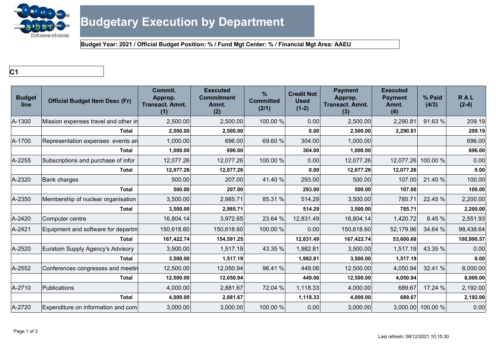

**Budget Year: 2021 / Official Budget Position: % / Fund Mgt Center: % / Financial Mgt Area: AAEU**

**C1**

| <b>Budget</b><br>line | <b>Official Budget Item Desc (Fr)</b> | Commit.<br>Approp.<br><b>Transact. Amnt.</b><br>(1) | <b>Executed</b><br><b>Commitment</b><br>Amnt.<br>(2) | $\frac{9}{6}$<br><b>Committed</b><br>(2/1) | <b>Credit Not</b><br><b>Used</b><br>$(1-2)$ | <b>Payment</b><br>Approp.<br><b>Transact. Amnt.</b><br>(3) | <b>Executed</b><br><b>Payment</b><br>Amnt.<br>(4) | % Paid<br>(4/3)    | <b>RAL</b><br>$(2-4)$ |
|-----------------------|---------------------------------------|-----------------------------------------------------|------------------------------------------------------|--------------------------------------------|---------------------------------------------|------------------------------------------------------------|---------------------------------------------------|--------------------|-----------------------|
| A-1300                | Mission expenses travel and other in  | 2,500.00                                            | 2,500.00                                             | 100.00 %                                   | 0.00                                        | 2,500.00                                                   | 2,290.81                                          | 91.63 %            | 209.19                |
|                       | <b>Total</b>                          | 2,500.00                                            | 2,500.00                                             |                                            | 0.00                                        | 2,500.00                                                   | 2,290.81                                          |                    | 209.19                |
| A-1700                | Representation expenses events an     | 1,000.00                                            | 696.00                                               | 69.60 %                                    | 304.00                                      | 1,000.00                                                   |                                                   |                    | 696.00                |
|                       | <b>Total</b>                          | 1,000.00                                            | 696.00                                               |                                            | 304.00                                      | 1,000.00                                                   |                                                   |                    | 696.00                |
| A-2255                | Subscriptions and purchase of infor   | 12,077.26                                           | 12,077.26                                            | 100.00 %                                   | 0.00                                        | 12,077.26                                                  |                                                   | 12,077.26 100.00 % | 0.00                  |
|                       | <b>Total</b>                          | 12,077.26                                           | 12,077.26                                            |                                            | 0.00                                        | 12,077.26                                                  | 12,077.26                                         |                    | 0.00                  |
| A-2320                | <b>Bank charges</b>                   | 500.00                                              | 207.00                                               | 41.40 %                                    | 293.00                                      | 500.00                                                     | 107.00                                            | 21.40 %            | 100.00                |
|                       | <b>Total</b>                          | 500.00                                              | 207.00                                               |                                            | 293.00                                      | 500.00                                                     | 107.00                                            |                    | 100.00                |
| A-2350                | Membership of nuclear organisation    | 3,500.00                                            | 2,985.71                                             | 85.31 %                                    | 514.29                                      | 3,500.00                                                   | 785.71                                            | 22.45 %            | 2,200.00              |
|                       | <b>Total</b>                          | 3,500.00                                            | 2,985.71                                             |                                            | 514.29                                      | 3,500.00                                                   | 785.71                                            |                    | 2,200.00              |
| A-2420                | Computer centre                       | 16,804.14                                           | 3,972.65                                             | 23.64 %                                    | 12,831.49                                   | 16,804.14                                                  | 1,420.72                                          | 8.45 %             | 2,551.93              |
| A-2421                | Equipment and software for departm    | 150,618.60                                          | 150,618.60                                           | 100.00 %                                   | 0.00                                        | 150,618.60                                                 | 52,179.96                                         | 34.64 %            | 98,438.64             |
|                       | Total                                 | 167,422.74                                          | 154,591.25                                           |                                            | 12,831.49                                   | 167,422.74                                                 | 53,600.68                                         |                    | 100,990.57            |
| A-2520                | Euratom Supply Agency's Advisory      | 3,500.00                                            | 1,517.19                                             | 43.35 %                                    | 1,982.81                                    | 3,500.00                                                   | 1,517.19                                          | 43.35 %            | 0.00                  |
|                       | <b>Total</b>                          | 3,500.00                                            | 1,517.19                                             |                                            | 1,982.81                                    | 3,500.00                                                   | 1,517.19                                          |                    | 0.00                  |
| A-2552                | Conferences congresses and meetin     | 12,500.00                                           | 12,050.94                                            | 96.41%                                     | 449.06                                      | 12,500.00                                                  | 4,050.94                                          | 32.41 %            | 8,000.00              |
|                       | <b>Total</b>                          | 12,500.00                                           | 12,050.94                                            |                                            | 449.06                                      | 12,500.00                                                  | 4,050.94                                          |                    | 8,000.00              |
| A-2710                | Publications                          | 4,000.00                                            | 2,881.67                                             | 72.04 %                                    | 1,118.33                                    | 4,000.00                                                   | 689.67                                            | 17.24 %            | 2,192.00              |
|                       | <b>Total</b>                          | 4,000.00                                            | 2,881.67                                             |                                            | 1,118.33                                    | 4,000.00                                                   | 689.67                                            |                    | 2,192.00              |
| A-2720                | Expenditure on information and com    | 3,000.00                                            | 3,000.00                                             | 100.00 %                                   | 0.00                                        | 3,000.00                                                   |                                                   | 3,000.00 100.00 %  | 0.00                  |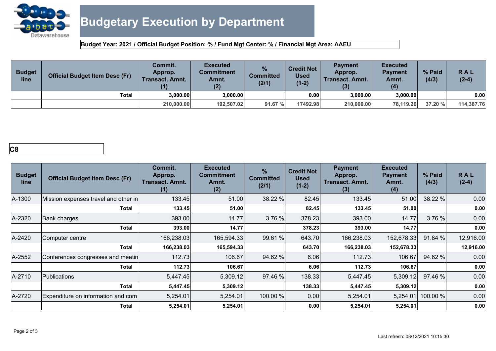

**Budget Year: 2021 / Official Budget Position: % / Fund Mgt Center: % / Financial Mgt Area: AAEU**

| <b>Budget</b><br>line | <b>Official Budget Item Desc (Fr)</b> | Commit.<br>Approp.<br><b>Transact. Amnt.</b><br>(1) | <b>Executed</b><br>Commitment<br>Amnt.<br>(2) | %<br><b>Committed</b><br>(2/1) | <b>Credit Not</b><br><b>Used</b><br>$(1-2)$ | <b>Payment</b><br>Approp.<br>Transact. Amnt. | <b>Executed</b><br><b>Pavment</b><br>Amnt.<br>(4) | % Paid<br>(4/3) | RAL<br>$(2-4)$ |
|-----------------------|---------------------------------------|-----------------------------------------------------|-----------------------------------------------|--------------------------------|---------------------------------------------|----------------------------------------------|---------------------------------------------------|-----------------|----------------|
|                       | <b>Total</b>                          | 3.000.00                                            | 3.000.00                                      |                                | 0.00                                        | 3.000.00                                     | 3.000.00                                          |                 | 0.00           |
|                       |                                       | 210,000.00                                          | 192.507.02                                    | 91.67 %                        | 17492.98                                    | 210,000,00                                   | 78.119.26                                         | 37.20 %         | 114,387.76     |

# **C8**

| <b>Budget</b><br>line | <b>Official Budget Item Desc (Fr)</b> | Commit.<br>Approp.<br><b>Transact. Amnt.</b><br>(1) | <b>Executed</b><br><b>Commitment</b><br>Amnt.<br>(2) | $\frac{9}{6}$<br><b>Committed</b><br>(2/1) | <b>Credit Not</b><br><b>Used</b><br>$(1-2)$ | <b>Payment</b><br>Approp.<br><b>Transact. Amnt.</b><br>(3) | <b>Executed</b><br><b>Payment</b><br>Amnt.<br>(4) | % Paid<br>(4/3) | <b>RAL</b><br>$(2-4)$ |
|-----------------------|---------------------------------------|-----------------------------------------------------|------------------------------------------------------|--------------------------------------------|---------------------------------------------|------------------------------------------------------------|---------------------------------------------------|-----------------|-----------------------|
| A-1300                | Mission expenses travel and other in  | 133.45                                              | 51.00                                                | 38.22 %                                    | 82.45                                       | 133.45                                                     | 51.00                                             | 38.22 %         | 0.00                  |
|                       | Total                                 | 133.45                                              | 51.00                                                |                                            | 82.45                                       | 133.45                                                     | 51.00                                             |                 | 0.00                  |
| A-2320                | <b>Bank charges</b>                   | 393.00                                              | 14.77                                                | 3.76 %                                     | 378.23                                      | 393.00                                                     | 14.77                                             | 3.76 %          | 0.00                  |
|                       | Total                                 | 393.00                                              | 14.77                                                |                                            | 378.23                                      | 393.00                                                     | 14.77                                             |                 | 0.00                  |
| A-2420                | Computer centre                       | 166,238.03                                          | 165,594.33                                           | 99.61 %                                    | 643.70                                      | 166,238.03                                                 | 152,678.33                                        | 91.84 %         | 12,916.00             |
|                       | <b>Total</b>                          | 166,238.03                                          | 165,594.33                                           |                                            | 643.70                                      | 166,238.03                                                 | 152,678.33                                        |                 | 12,916.00             |
| A-2552                | Conferences congresses and meetin     | 112.73                                              | 106.67                                               | 94.62 %                                    | 6.06                                        | 112.73                                                     | 106.67                                            | 94.62 %         | 0.00                  |
|                       | Total                                 | 112.73                                              | 106.67                                               |                                            | 6.06                                        | 112.73                                                     | 106.67                                            |                 | 0.00                  |
| A-2710                | <b>Publications</b>                   | 5,447.45                                            | 5,309.12                                             | 97.46 %                                    | 138.33                                      | 5,447.45                                                   | 5,309.12                                          | 97.46 %         | 0.00                  |
|                       | Total                                 | 5,447.45                                            | 5,309.12                                             |                                            | 138.33                                      | 5,447.45                                                   | 5,309.12                                          |                 | 0.00                  |
| A-2720                | Expenditure on information and com    | 5,254.01                                            | 5,254.01                                             | 100.00 %                                   | 0.00                                        | 5,254.01                                                   | 5,254.01                                          | 100.00 %        | 0.00                  |
|                       | Total                                 | 5,254.01                                            | 5,254.01                                             |                                            | 0.00                                        | 5,254.01                                                   | 5,254.01                                          |                 | 0.00                  |